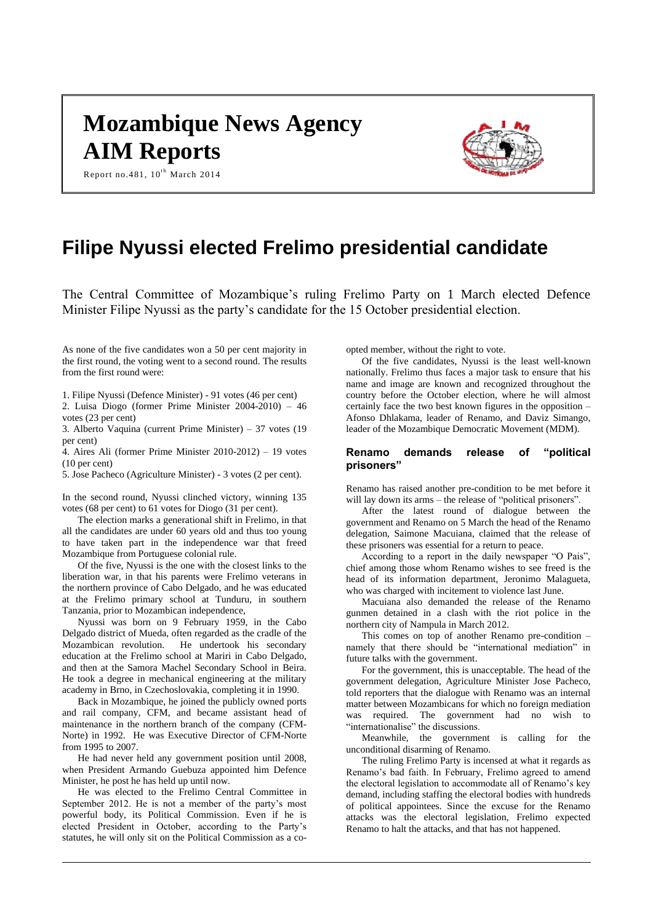# **Mozambique News Agency AIM Reports**



Report no.481,  $10^{th}$  March 2014

# **Filipe Nyussi elected Frelimo presidential candidate**

The Central Committee of Mozambique's ruling Frelimo Party on 1 March elected Defence Minister Filipe Nyussi as the party's candidate for the 15 October presidential election.

As none of the five candidates won a 50 per cent majority in the first round, the voting went to a second round. The results from the first round were:

1. Filipe Nyussi (Defence Minister) - 91 votes (46 per cent) 2. Luisa Diogo (former Prime Minister 2004-2010) – 46 votes (23 per cent)

3. Alberto Vaquina (current Prime Minister) – 37 votes (19 per cent)

4. Aires Ali (former Prime Minister 2010-2012) – 19 votes (10 per cent)

5. Jose Pacheco (Agriculture Minister) - 3 votes (2 per cent).

In the second round, Nyussi clinched victory, winning 135 votes (68 per cent) to 61 votes for Diogo (31 per cent).

The election marks a generational shift in Frelimo, in that all the candidates are under 60 years old and thus too young to have taken part in the independence war that freed Mozambique from Portuguese colonial rule.

Of the five, Nyussi is the one with the closest links to the liberation war, in that his parents were Frelimo veterans in the northern province of Cabo Delgado, and he was educated at the Frelimo primary school at Tunduru, in southern Tanzania, prior to Mozambican independence,

Nyussi was born on 9 February 1959, in the Cabo Delgado district of Mueda, often regarded as the cradle of the Mozambican revolution. He undertook his secondary education at the Frelimo school at Mariri in Cabo Delgado, and then at the Samora Machel Secondary School in Beira. He took a degree in mechanical engineering at the military academy in Brno, in Czechoslovakia, completing it in 1990.

Back in Mozambique, he joined the publicly owned ports and rail company, CFM, and became assistant head of maintenance in the northern branch of the company (CFM-Norte) in 1992. He was Executive Director of CFM-Norte from 1995 to 2007.

He had never held any government position until 2008, when President Armando Guebuza appointed him Defence Minister, he post he has held up until now.

He was elected to the Frelimo Central Committee in September 2012. He is not a member of the party's most powerful body, its Political Commission. Even if he is elected President in October, according to the Party's statutes, he will only sit on the Political Commission as a coopted member, without the right to vote.

Of the five candidates, Nyussi is the least well-known nationally. Frelimo thus faces a major task to ensure that his name and image are known and recognized throughout the country before the October election, where he will almost certainly face the two best known figures in the opposition – Afonso Dhlakama, leader of Renamo, and Daviz Simango, leader of the Mozambique Democratic Movement (MDM).

# **Renamo demands release of "political prisoners"**

Renamo has raised another pre-condition to be met before it will lay down its arms – the release of "political prisoners".

After the latest round of dialogue between the government and Renamo on 5 March the head of the Renamo delegation, Saimone Macuiana, claimed that the release of these prisoners was essential for a return to peace.

According to a report in the daily newspaper "O Pais", chief among those whom Renamo wishes to see freed is the head of its information department, Jeronimo Malagueta, who was charged with incitement to violence last June.

Macuiana also demanded the release of the Renamo gunmen detained in a clash with the riot police in the northern city of Nampula in March 2012.

This comes on top of another Renamo pre-condition – namely that there should be "international mediation" in future talks with the government.

For the government, this is unacceptable. The head of the government delegation, Agriculture Minister Jose Pacheco, told reporters that the dialogue with Renamo was an internal matter between Mozambicans for which no foreign mediation was required. The government had no wish to "internationalise" the discussions.

Meanwhile, the government is calling for the unconditional disarming of Renamo.

The ruling Frelimo Party is incensed at what it regards as Renamo's bad faith. In February, Frelimo agreed to amend the electoral legislation to accommodate all of Renamo's key demand, including staffing the electoral bodies with hundreds of political appointees. Since the excuse for the Renamo attacks was the electoral legislation, Frelimo expected Renamo to halt the attacks, and that has not happened.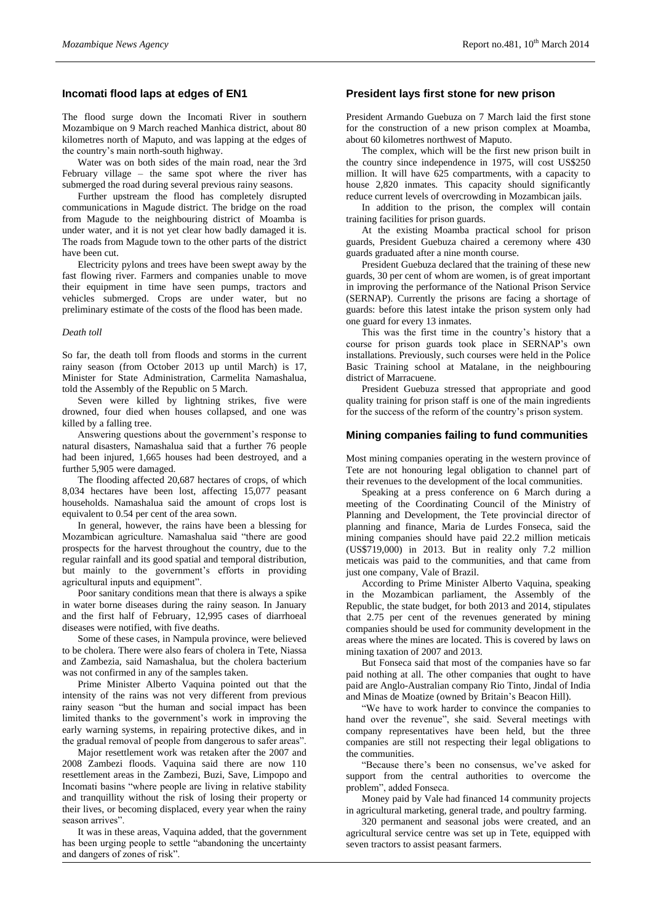# **Incomati flood laps at edges of EN1**

The flood surge down the Incomati River in southern Mozambique on 9 March reached Manhica district, about 80 kilometres north of Maputo, and was lapping at the edges of the country's main north-south highway.

Water was on both sides of the main road, near the 3rd February village – the same spot where the river has submerged the road during several previous rainy seasons.

Further upstream the flood has completely disrupted communications in Magude district. The bridge on the road from Magude to the neighbouring district of Moamba is under water, and it is not yet clear how badly damaged it is. The roads from Magude town to the other parts of the district have been cut.

Electricity pylons and trees have been swept away by the fast flowing river. Farmers and companies unable to move their equipment in time have seen pumps, tractors and vehicles submerged. Crops are under water, but no preliminary estimate of the costs of the flood has been made.

### *Death toll*

So far, the death toll from floods and storms in the current rainy season (from October 2013 up until March) is 17, Minister for State Administration, Carmelita Namashalua, told the Assembly of the Republic on 5 March.

Seven were killed by lightning strikes, five were drowned, four died when houses collapsed, and one was killed by a falling tree.

Answering questions about the government's response to natural disasters, Namashalua said that a further 76 people had been injured, 1,665 houses had been destroyed, and a further 5,905 were damaged.

The flooding affected 20,687 hectares of crops, of which 8,034 hectares have been lost, affecting 15,077 peasant households. Namashalua said the amount of crops lost is equivalent to 0.54 per cent of the area sown.

In general, however, the rains have been a blessing for Mozambican agriculture. Namashalua said "there are good prospects for the harvest throughout the country, due to the regular rainfall and its good spatial and temporal distribution, but mainly to the government's efforts in providing agricultural inputs and equipment".

Poor sanitary conditions mean that there is always a spike in water borne diseases during the rainy season. In January and the first half of February, 12,995 cases of diarrhoeal diseases were notified, with five deaths.

Some of these cases, in Nampula province, were believed to be cholera. There were also fears of cholera in Tete, Niassa and Zambezia, said Namashalua, but the cholera bacterium was not confirmed in any of the samples taken.

Prime Minister Alberto Vaquina pointed out that the intensity of the rains was not very different from previous rainy season "but the human and social impact has been limited thanks to the government's work in improving the early warning systems, in repairing protective dikes, and in the gradual removal of people from dangerous to safer areas".

Major resettlement work was retaken after the 2007 and 2008 Zambezi floods. Vaquina said there are now 110 resettlement areas in the Zambezi, Buzi, Save, Limpopo and Incomati basins "where people are living in relative stability and tranquillity without the risk of losing their property or their lives, or becoming displaced, every year when the rainy season arrives".

It was in these areas, Vaquina added, that the government has been urging people to settle "abandoning the uncertainty and dangers of zones of risk".

#### **President lays first stone for new prison**

President Armando Guebuza on 7 March laid the first stone for the construction of a new prison complex at Moamba, about 60 kilometres northwest of Maputo.

The complex, which will be the first new prison built in the country since independence in 1975, will cost US\$250 million. It will have 625 compartments, with a capacity to house 2,820 inmates. This capacity should significantly reduce current levels of overcrowding in Mozambican jails.

In addition to the prison, the complex will contain training facilities for prison guards.

At the existing Moamba practical school for prison guards, President Guebuza chaired a ceremony where 430 guards graduated after a nine month course.

President Guebuza declared that the training of these new guards, 30 per cent of whom are women, is of great important in improving the performance of the National Prison Service (SERNAP). Currently the prisons are facing a shortage of guards: before this latest intake the prison system only had one guard for every 13 inmates.

This was the first time in the country's history that a course for prison guards took place in SERNAP's own installations. Previously, such courses were held in the Police Basic Training school at Matalane, in the neighbouring district of Marracuene.

President Guebuza stressed that appropriate and good quality training for prison staff is one of the main ingredients for the success of the reform of the country's prison system.

#### **Mining companies failing to fund communities**

Most mining companies operating in the western province of Tete are not honouring legal obligation to channel part of their revenues to the development of the local communities.

Speaking at a press conference on 6 March during a meeting of the Coordinating Council of the Ministry of Planning and Development, the Tete provincial director of planning and finance, Maria de Lurdes Fonseca, said the mining companies should have paid 22.2 million meticais (US\$719,000) in 2013. But in reality only 7.2 million meticais was paid to the communities, and that came from just one company, Vale of Brazil.

According to Prime Minister Alberto Vaquina, speaking in the Mozambican parliament, the Assembly of the Republic, the state budget, for both 2013 and 2014, stipulates that 2.75 per cent of the revenues generated by mining companies should be used for community development in the areas where the mines are located. This is covered by laws on mining taxation of 2007 and 2013.

But Fonseca said that most of the companies have so far paid nothing at all. The other companies that ought to have paid are Anglo-Australian company Rio Tinto, Jindal of India and Minas de Moatize (owned by Britain's Beacon Hill).

"We have to work harder to convince the companies to hand over the revenue", she said. Several meetings with company representatives have been held, but the three companies are still not respecting their legal obligations to the communities.

"Because there's been no consensus, we've asked for support from the central authorities to overcome the problem", added Fonseca.

Money paid by Vale had financed 14 community projects in agricultural marketing, general trade, and poultry farming.

320 permanent and seasonal jobs were created, and an agricultural service centre was set up in Tete, equipped with seven tractors to assist peasant farmers.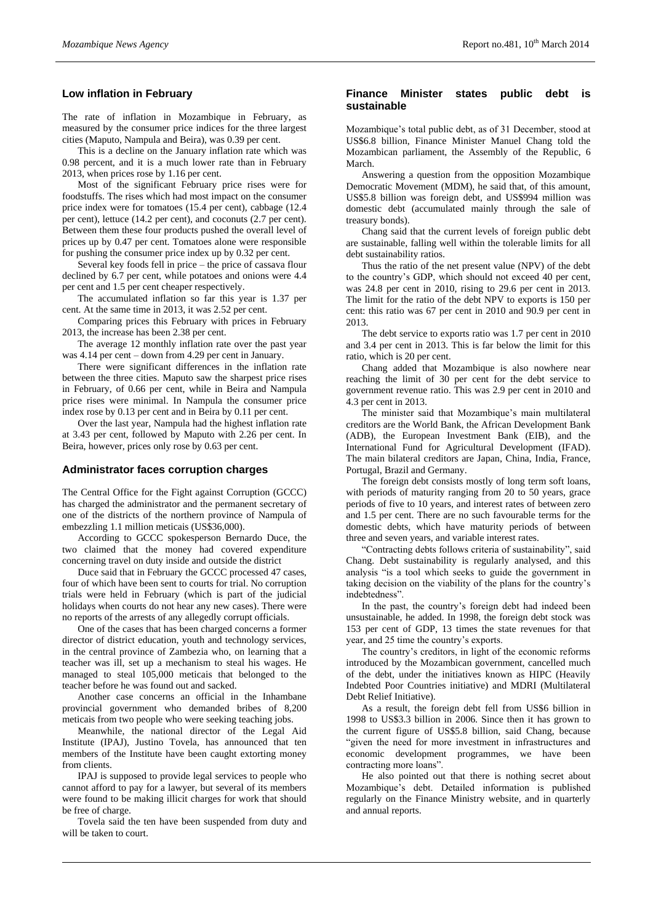# **Low inflation in February**

The rate of inflation in Mozambique in February, as measured by the consumer price indices for the three largest cities (Maputo, Nampula and Beira), was 0.39 per cent.

This is a decline on the January inflation rate which was 0.98 percent, and it is a much lower rate than in February 2013, when prices rose by 1.16 per cent.

Most of the significant February price rises were for foodstuffs. The rises which had most impact on the consumer price index were for tomatoes (15.4 per cent), cabbage (12.4 per cent), lettuce (14.2 per cent), and coconuts (2.7 per cent). Between them these four products pushed the overall level of prices up by 0.47 per cent. Tomatoes alone were responsible for pushing the consumer price index up by 0.32 per cent.

Several key foods fell in price – the price of cassava flour declined by 6.7 per cent, while potatoes and onions were 4.4 per cent and 1.5 per cent cheaper respectively.

The accumulated inflation so far this year is 1.37 per cent. At the same time in 2013, it was 2.52 per cent.

Comparing prices this February with prices in February 2013, the increase has been 2.38 per cent.

The average 12 monthly inflation rate over the past year was 4.14 per cent – down from 4.29 per cent in January.

There were significant differences in the inflation rate between the three cities. Maputo saw the sharpest price rises in February, of 0.66 per cent, while in Beira and Nampula price rises were minimal. In Nampula the consumer price index rose by 0.13 per cent and in Beira by 0.11 per cent.

Over the last year, Nampula had the highest inflation rate at 3.43 per cent, followed by Maputo with 2.26 per cent. In Beira, however, prices only rose by 0.63 per cent.

#### **Administrator faces corruption charges**

The Central Office for the Fight against Corruption (GCCC) has charged the administrator and the permanent secretary of one of the districts of the northern province of Nampula of embezzling 1.1 million meticais (US\$36,000).

According to GCCC spokesperson Bernardo Duce, the two claimed that the money had covered expenditure concerning travel on duty inside and outside the district

Duce said that in February the GCCC processed 47 cases, four of which have been sent to courts for trial. No corruption trials were held in February (which is part of the judicial holidays when courts do not hear any new cases). There were no reports of the arrests of any allegedly corrupt officials.

One of the cases that has been charged concerns a former director of district education, youth and technology services, in the central province of Zambezia who, on learning that a teacher was ill, set up a mechanism to steal his wages. He managed to steal 105,000 meticais that belonged to the teacher before he was found out and sacked.

Another case concerns an official in the Inhambane provincial government who demanded bribes of 8,200 meticais from two people who were seeking teaching jobs.

Meanwhile, the national director of the Legal Aid Institute (IPAJ), Justino Tovela, has announced that ten members of the Institute have been caught extorting money from clients.

IPAJ is supposed to provide legal services to people who cannot afford to pay for a lawyer, but several of its members were found to be making illicit charges for work that should be free of charge.

Tovela said the ten have been suspended from duty and will be taken to court.

#### **Finance Minister states public debt is sustainable**

Mozambique's total public debt, as of 31 December, stood at US\$6.8 billion, Finance Minister Manuel Chang told the Mozambican parliament, the Assembly of the Republic, 6 March.

Answering a question from the opposition Mozambique Democratic Movement (MDM), he said that, of this amount, US\$5.8 billion was foreign debt, and US\$994 million was domestic debt (accumulated mainly through the sale of treasury bonds).

Chang said that the current levels of foreign public debt are sustainable, falling well within the tolerable limits for all debt sustainability ratios.

Thus the ratio of the net present value (NPV) of the debt to the country's GDP, which should not exceed 40 per cent, was 24.8 per cent in 2010, rising to 29.6 per cent in 2013. The limit for the ratio of the debt NPV to exports is 150 per cent: this ratio was 67 per cent in 2010 and 90.9 per cent in 2013.

The debt service to exports ratio was 1.7 per cent in 2010 and 3.4 per cent in 2013. This is far below the limit for this ratio, which is 20 per cent.

Chang added that Mozambique is also nowhere near reaching the limit of 30 per cent for the debt service to government revenue ratio. This was 2.9 per cent in 2010 and 4.3 per cent in 2013.

The minister said that Mozambique's main multilateral creditors are the World Bank, the African Development Bank (ADB), the European Investment Bank (EIB), and the International Fund for Agricultural Development (IFAD). The main bilateral creditors are Japan, China, India, France, Portugal, Brazil and Germany.

The foreign debt consists mostly of long term soft loans, with periods of maturity ranging from 20 to 50 years, grace periods of five to 10 years, and interest rates of between zero and 1.5 per cent. There are no such favourable terms for the domestic debts, which have maturity periods of between three and seven years, and variable interest rates.

"Contracting debts follows criteria of sustainability", said Chang. Debt sustainability is regularly analysed, and this analysis "is a tool which seeks to guide the government in taking decision on the viability of the plans for the country's indebtedness".

In the past, the country's foreign debt had indeed been unsustainable, he added. In 1998, the foreign debt stock was 153 per cent of GDP, 13 times the state revenues for that year, and 25 time the country's exports.

The country's creditors, in light of the economic reforms introduced by the Mozambican government, cancelled much of the debt, under the initiatives known as HIPC (Heavily Indebted Poor Countries initiative) and MDRI (Multilateral Debt Relief Initiative).

As a result, the foreign debt fell from US\$6 billion in 1998 to US\$3.3 billion in 2006. Since then it has grown to the current figure of US\$5.8 billion, said Chang, because "given the need for more investment in infrastructures and economic development programmes, we have been contracting more loans".

He also pointed out that there is nothing secret about Mozambique's debt. Detailed information is published regularly on the Finance Ministry website, and in quarterly and annual reports.